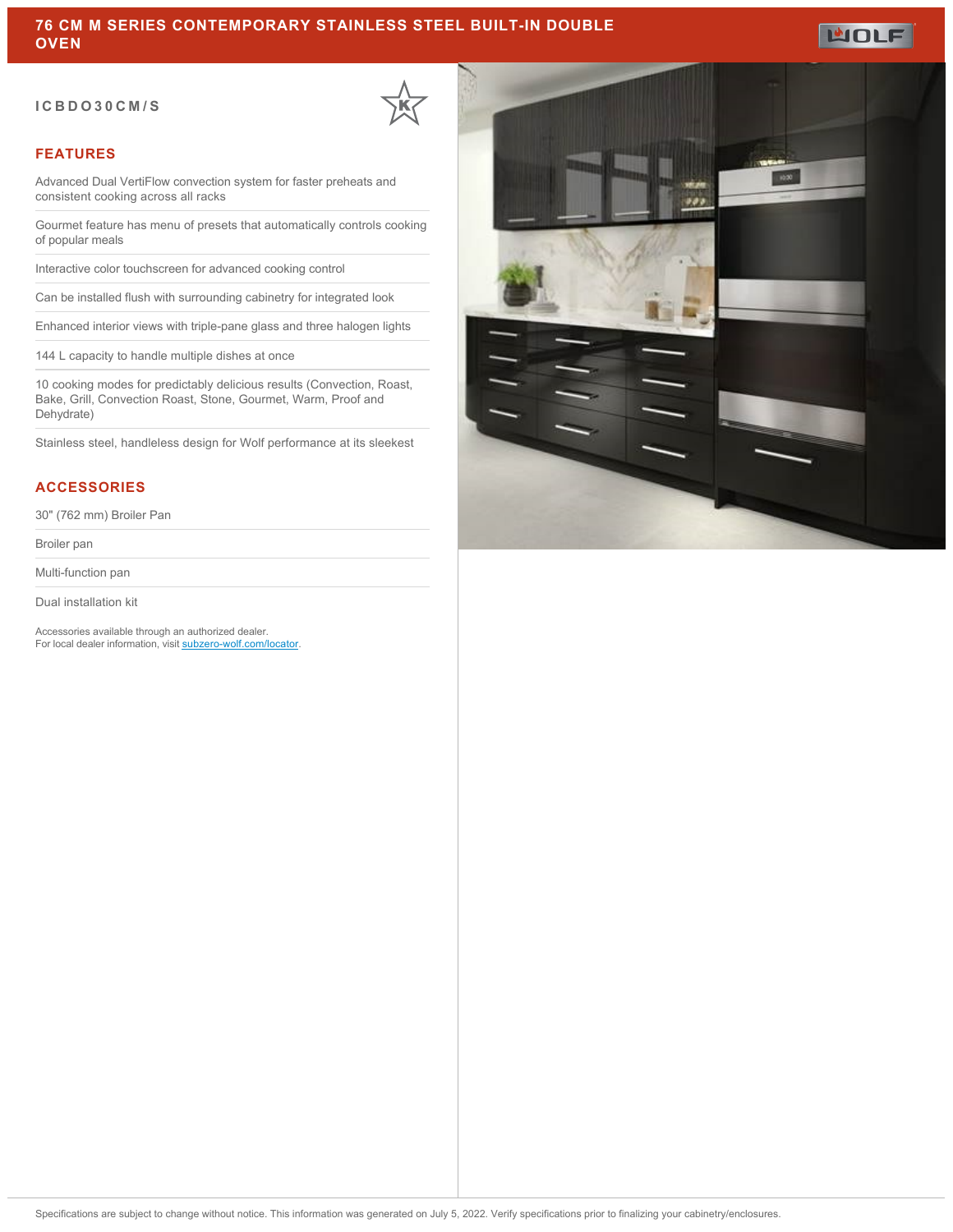#### **ICBDO30CM/S**



### **FEATURES**

Advanced Dual VertiFlow convection system for faster preheats and consistent cooking across all racks

Gourmet feature has menu of presets that automatically controls cooking of popular meals

Interactive color touchscreen for advanced cooking control

Can be installed flush with surrounding cabinetry for integrated look

Enhanced interior views with triple-pane glass and three halogen lights

144 L capacity to handle multiple dishes at once

10 cooking modes for predictably delicious results (Convection, Roast, Bake, Grill, Convection Roast, Stone, Gourmet, Warm, Proof and Dehydrate)

Stainless steel, handleless design for Wolf performance at its sleekest

### **ACCESSORIES**

30" (762 mm) Broiler Pan

Broiler pan

Multi-function pan

Dual installation kit

Accessories available through an authorized dealer. For local dealer information, visit [subzero-wolf.com/locator.](http://www.subzero-wolf.com/locator)



**MOLF**